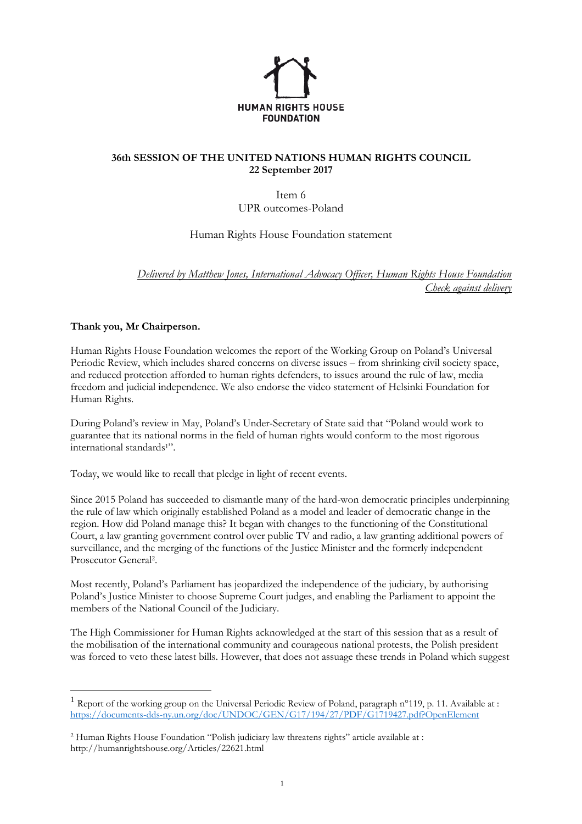

## **36th SESSION OF THE UNITED NATIONS HUMAN RIGHTS COUNCIL 22 September 2017**

Item 6 UPR outcomes-Poland

Human Rights House Foundation statement

*Delivered by Matthew Jones, International Advocacy Officer, Human Rights House Foundation Check against delivery*

## **Thank you, Mr Chairperson.**

 $\overline{a}$ 

Human Rights House Foundation welcomes the report of the Working Group on Poland's Universal Periodic Review, which includes shared concerns on diverse issues – from shrinking civil society space, and reduced protection afforded to human rights defenders, to issues around the rule of law, media freedom and judicial independence. We also endorse the video statement of Helsinki Foundation for Human Rights.

During Poland's review in May, Poland's Under-Secretary of State said that "Poland would work to guarantee that its national norms in the field of human rights would conform to the most rigorous international standards1".

Today, we would like to recall that pledge in light of recent events.

Since 2015 Poland has succeeded to dismantle many of the hard-won democratic principles underpinning the rule of law which originally established Poland as a model and leader of democratic change in the region. How did Poland manage this? It [began](http://humanrightshouse.org/Articles/21739.html) with changes to the functioning of the Constitutional Court, a law granting government control over public TV and radio, a law granting additional powers of surveillance, and the merging of the functions of the Justice Minister and the formerly independent Prosecutor General<sup>2</sup>.

Most recently, Poland's Parliament has jeopardized the independence of the judiciary, by authorising Poland's Justice Minister to choose Supreme Court judges, and enabling the Parliament to appoint the members of the National Council of the Judiciary.

The High Commissioner for Human Rights acknowledged at the start of this session that as a result of the mobilisation of the international community and courageous national protests, the Polish president was forced to veto these latest bills. However, that does not assuage these trends in Poland which suggest

<sup>&</sup>lt;sup>1</sup> Report of the working group on the Universal Periodic Review of Poland, paragraph  $n^{\circ}$ 119, p. 11. Available at : <https://documents-dds-ny.un.org/doc/UNDOC/GEN/G17/194/27/PDF/G1719427.pdf?OpenElement>

<sup>2</sup> Human Rights House Foundation "Polish judiciary law threatens rights" article available at : http://humanrightshouse.org/Articles/22621.html